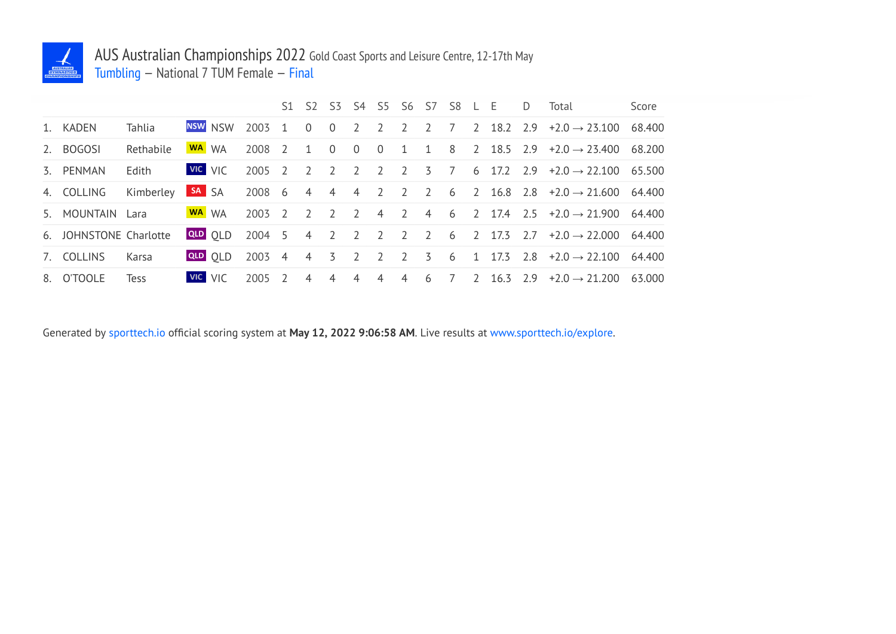

## AUS Australian Championships 2022 Gold Coast Sports and Leisure Centre, 12-17th May Tumbling — National 7 TUM Female — Final

|                        |                        |                |                |        |                |                |                | S1 S2 S3 S4 S5 S6 S7 S8 L E |                |                |                 |                |                | D | Total                                                                    | Score |
|------------------------|------------------------|----------------|----------------|--------|----------------|----------------|----------------|-----------------------------|----------------|----------------|-----------------|----------------|----------------|---|--------------------------------------------------------------------------|-------|
| 1. KADEN               | Tahlia                 |                | NSW NSW        | 2003 1 |                | $\overline{0}$ | $\overline{0}$ | $\overline{2}$              | $\overline{2}$ |                |                 |                |                |   | 2 2 7 2 18.2 2.9 $+2.0 \rightarrow 25.100$ 68.400                        |       |
| 2. BOGOSI              | Rethabile              | WA WA          |                | 2008   | $\overline{z}$ | $\overline{1}$ | $\bigcirc$     | $\overline{0}$              | $\overline{0}$ |                |                 |                |                |   | 1 1 8 2 18.5 2.9 $\div 2.0 \rightarrow 23.400$ 68.200                    |       |
| 3. PENMAN              | Edith                  | <b>VIC</b> VIC |                | 2005 2 |                | $\overline{2}$ | $\overline{2}$ | 2                           | $\overline{2}$ | $\overline{2}$ | 3 7             |                |                |   | 6 17.2 2.9 $+2.0 \rightarrow 22.100$ 65.500                              |       |
| 4. COLLING             | Kimberley <b>SA</b> SA |                |                | 2008 6 |                |                |                | 4 4 4 2                     |                | $2 \quad 2$    |                 |                |                |   | 6 2 16.8 2.8 $\pm 2.0 \rightarrow 21.600$ 64.400                         |       |
| 5. MOUNTAIN Lara       |                        | WA WA          |                | 2003 2 |                | $\overline{2}$ | $\overline{2}$ | $\overline{2}$              |                |                |                 |                |                |   | 4 2 4 6 2 17.4 2.5 $+2.0 \rightarrow 21.900$ 64.400                      |       |
| 6. JOHNSTONE Charlotte |                        |                | <b>QLD</b> OLD |        |                |                |                |                             |                |                |                 |                |                |   | $2004$ 5 4 2 2 2 2 2 6 2 17.3 2.7 +2.0 $\rightarrow$ 22.000 64.400       |       |
| 7. COLLINS             | Karsa                  |                |                |        |                |                |                |                             |                |                |                 |                |                |   | QLD 0LD 2003 4 4 3 2 2 2 3 6 1 17.3 2.8 $+2.0 \rightarrow 22.100$ 64.400 |       |
| 8. O'TOOLE             | <b>Tess</b>            |                | <b>VIC</b> VIC | 2005   | $\overline{2}$ | $\overline{4}$ | $\overline{4}$ | $\overline{4}$              | $\overline{4}$ | $\overline{4}$ | $6\overline{6}$ | $\overline{7}$ | $\overline{z}$ |   | $16.3$ $2.9$ $+2.0 \rightarrow 21.200$ 63.000                            |       |

Generated by sporttech.io official scoring system at **May 12, 2022 9:06:58 AM**. Live results at www.sporttech.io/explore.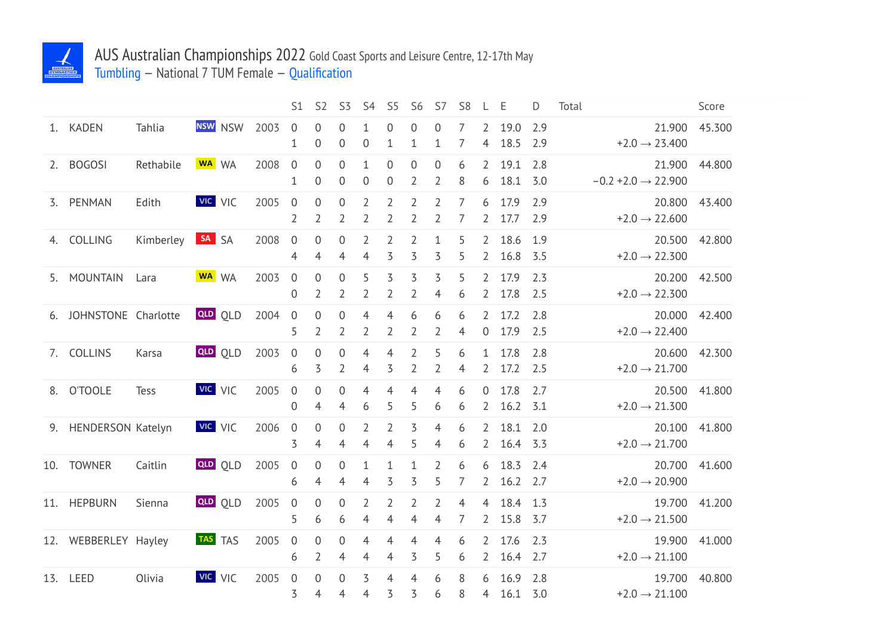

## AUS Australian Championships 2022 Gold Coast Sports and Leisure Centre, 12-17th May Tumbling — National 7 TUM Female — Qualification

|    |                      |           |                |      | S <sub>1</sub>                     | S <sub>2</sub>                     | S <sub>3</sub>                  | S <sub>4</sub>                   | S <sub>5</sub>                   | S <sub>6</sub>                   | S7                               | S <sub>8</sub>      | L                                | Ε            | D          | Total |                                           | Score  |
|----|----------------------|-----------|----------------|------|------------------------------------|------------------------------------|---------------------------------|----------------------------------|----------------------------------|----------------------------------|----------------------------------|---------------------|----------------------------------|--------------|------------|-------|-------------------------------------------|--------|
|    | 1. KADEN             | Tahlia    | <b>NSW</b> NSW | 2003 | $\overline{0}$<br>$\mathbf 1$      | 0<br>0                             | $\mathbf 0$<br>$\boldsymbol{0}$ | $\mathbf 1$<br>$\boldsymbol{0}$  | 0<br>$\mathbf 1$                 | $\mathbf 0$<br>$\mathbf{1}$      | $\overline{0}$<br>$\mathbf 1$    | 7<br>7              | $\overline{2}$<br>4              | 19.0<br>18.5 | 2.9<br>2.9 |       | 21.900<br>$+2.0 \rightarrow 23.400$       | 45.300 |
| 2. | <b>BOGOSI</b>        | Rethabile | WA WA          | 2008 | $\mathbf 0$<br>$\mathbf{1}$        | $\mathbf 0$<br>$\boldsymbol{0}$    | $\mathbf 0$<br>$\mathbf 0$      | $\mathbf{1}$<br>$\boldsymbol{0}$ | $\boldsymbol{0}$<br>0            | $\mathbf 0$<br>$\overline{2}$    | $\mathbf 0$<br>$\overline{2}$    | 6<br>8              | $\overline{2}$<br>6              | 19.1<br>18.1 | 2.8<br>3.0 |       | 21.900<br>$-0.2 + 2.0 \rightarrow 22.900$ | 44.800 |
|    | 3. PENMAN            | Edith     | <b>VIC</b> VIC | 2005 | $\mathbf 0$<br>$\overline{2}$      | $\mathbf 0$<br>$\overline{2}$      | $\mathbf 0$<br>$\overline{2}$   | $\overline{2}$<br>$\overline{2}$ | $\overline{2}$<br>$\overline{2}$ | $\overline{2}$<br>$\overline{2}$ | $\overline{2}$<br>$\overline{2}$ | 7<br>7              | 6<br>2                           | 17.9<br>17.7 | 2.9<br>2.9 |       | 20.800<br>$+2.0 \rightarrow 22.600$       | 43.400 |
| 4. | COLLING              | Kimberley | SA SA          | 2008 | $\boldsymbol{0}$<br>4              | $\boldsymbol{0}$<br>4              | $\mathbf 0$<br>4                | $\overline{2}$<br>$\overline{4}$ | 2<br>3                           | $\overline{2}$<br>3              | $\mathbf{1}$<br>3                | 5<br>5              | $\mathbf{2}$<br>2                | 18.6<br>16.8 | 1.9<br>3.5 |       | 20.500<br>$+2.0 \rightarrow 22.300$       | 42.800 |
| 5. | <b>MOUNTAIN</b>      | Lara      | WA WA          | 2003 | $\overline{0}$<br>$\mathbf 0$      | 0<br>$\overline{2}$                | $\mathbf 0$<br>2                | 5<br>$\overline{2}$              | 3<br>$\overline{2}$              | 3<br>$\overline{2}$              | 3<br>4                           | 5<br>6              | $\overline{2}$<br>2              | 17.9<br>17.8 | 2.3<br>2.5 |       | 20.200<br>$+2.0 \rightarrow 22.300$       | 42.500 |
| 6. | JOHNSTONE Charlotte  |           | <b>QLD</b> QLD | 2004 | $\boldsymbol{0}$<br>5              | 0<br>$\overline{2}$                | $\mathbf 0$<br>2                | 4<br>$\overline{2}$              | 4<br>2                           | 6<br>$\overline{2}$              | 6<br>$\overline{2}$              | 6<br>$\overline{4}$ | $\mathbf{2}^{\prime}$<br>0       | 17.2<br>17.9 | 2.8<br>2.5 |       | 20.000<br>$+2.0 \rightarrow 22.400$       | 42.400 |
| 7. | <b>COLLINS</b>       | Karsa     | <b>QLD</b> QLD | 2003 | $\boldsymbol{0}$<br>6              | $\boldsymbol{0}$<br>3              | $\mathbf 0$<br>2                | 4<br>$\overline{4}$              | 4<br>3                           | $\overline{2}$<br>$\overline{2}$ | 5<br>$\overline{2}$              | 6<br>$\overline{4}$ | $\mathbf{1}$<br>2                | 17.8<br>17.2 | 2.8<br>2.5 |       | 20.600<br>$+2.0 \rightarrow 21.700$       | 42.300 |
| 8. | <b>O'TOOLE</b>       | Tess      | VIC VIC        | 2005 | $\overline{0}$<br>$\boldsymbol{0}$ | $\overline{0}$<br>$\overline{4}$   | $\overline{0}$<br>4             | 4<br>6                           | 4<br>5                           | 4<br>5                           | $\overline{4}$<br>6              | 6<br>6              | 0<br>2                           | 17.8<br>16.2 | 2.7<br>3.1 |       | 20.500<br>$+2.0 \rightarrow 21.300$       | 41.800 |
|    | 9. HENDERSON Katelyn |           | VIC VIC        | 2006 | $\boldsymbol{0}$<br>3              | $\boldsymbol{0}$<br>$\overline{4}$ | $\mathbf 0$<br>$\overline{4}$   | $\overline{2}$<br>$\overline{4}$ | $\overline{2}$<br>$\overline{4}$ | 3<br>5                           | 4<br>4                           | 6<br>6              | 2<br>$\mathbf{2}$                | 18.1<br>16.4 | 2.0<br>3.3 |       | 20.100<br>$+2.0 \rightarrow 21.700$       | 41.800 |
|    | 10. TOWNER           | Caitlin   | <b>QLD</b> OLD | 2005 | $\boldsymbol{0}$<br>6              | $\boldsymbol{0}$<br>$\overline{4}$ | $\mathbf 0$<br>4                | $\mathbf 1$<br>4                 | $\mathbf 1$<br>3                 | $\mathbf{1}$<br>3                | $\overline{2}$<br>5              | 6<br>7              | 6<br>2                           | 18.3<br>16.2 | 2.4<br>2.7 |       | 20.700<br>$+2.0 \rightarrow 20.900$       | 41.600 |
|    | 11. HEPBURN          | Sienna    | <b>QLD</b> QLD | 2005 | $\boldsymbol{0}$<br>5              | $\boldsymbol{0}$<br>6              | $\mathbf 0$<br>6                | 2<br>4                           | 2<br>4                           | 2<br>4                           | $\overline{2}$<br>4              | $\overline{4}$<br>7 | $\overline{4}$<br>$\overline{2}$ | 18.4<br>15.8 | 1.3<br>3.7 |       | 19.700<br>$+2.0 \rightarrow 21.500$       | 41.200 |
|    | 12. WEBBERLEY Hayley |           | TAS TAS        | 2005 | $\mathbf 0$<br>6                   | $\mathbf 0$<br>$\overline{2}$      | $\mathbf 0$<br>$\overline{4}$   | 4<br>$\overline{4}$              | 4<br>$\overline{4}$              | 4<br>3                           | $\overline{4}$<br>5              | 6<br>6              | 2<br>$\overline{2}$              | 17.6<br>16.4 | 2.3<br>2.7 |       | 19.900<br>$+2.0 \rightarrow 21.100$       | 41.000 |
|    | 13. LEED             | Olivia    | VIC VIC        | 2005 | $\mathbf 0$<br>3                   | 0<br>4                             | $\Omega$<br>4                   | 3<br>4                           | 4<br>3                           | 4<br>3                           | 6<br>6                           | 8<br>8              | 6<br>4                           | 16.9<br>16.1 | 2.8<br>3.0 |       | 19.700<br>$+2.0 \rightarrow 21.100$       | 40.800 |